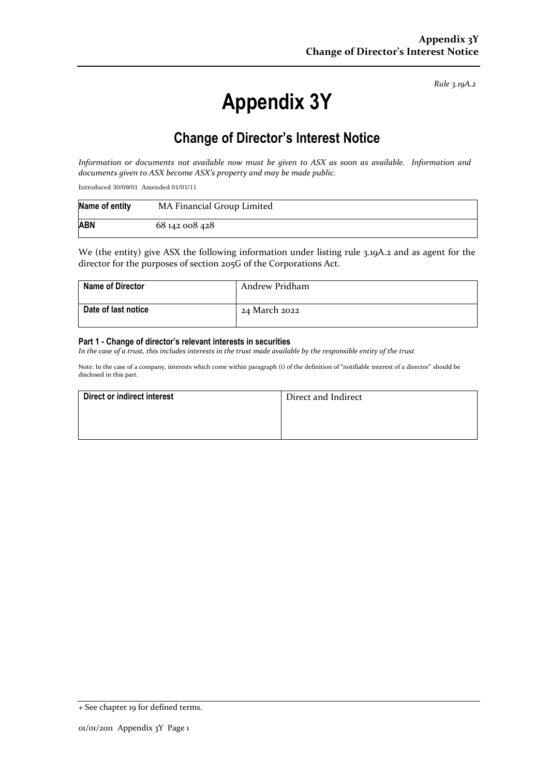*Rule 3.19A.2*

# **Appendix 3Y**

# **Change of Director's Interest Notice**

*Information or documents not available now must be given to ASX as soon as available. Information and documents given to ASX become ASX's property and may be made public.*

Introduced 30/09/01 Amended 01/01/11

| Name of entity | MA Financial Group Limited |
|----------------|----------------------------|
| <b>ABN</b>     | 68 142 008 428             |

We (the entity) give ASX the following information under listing rule 3.19A.2 and as agent for the director for the purposes of section 205G of the Corporations Act.

| <b>Name of Director</b> | Andrew Pridham |
|-------------------------|----------------|
| Date of last notice     | 24 March 2022  |

#### **Part 1 - Change of director's relevant interests in securities**

*In the case of a trust, this includes interests in the trust made available by the responsible entity of the trust*

Note: In the case of a company, interests which come within paragraph (i) of the definition of "notifiable interest of a director" should be disclosed in this part.

| Direct or indirect interest | Direct and Indirect |
|-----------------------------|---------------------|
|                             |                     |
|                             |                     |

<sup>+</sup> See chapter 19 for defined terms.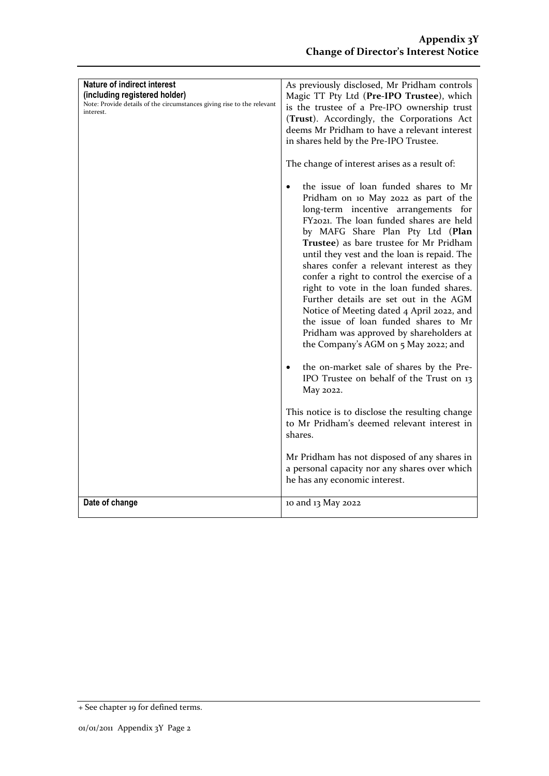| <b>Nature of indirect interest</b><br>(including registered holder)<br>Note: Provide details of the circumstances giving rise to the relevant<br>interest. | As previously disclosed, Mr Pridham controls<br>Magic TT Pty Ltd (Pre-IPO Trustee), which<br>is the trustee of a Pre-IPO ownership trust<br>(Trust). Accordingly, the Corporations Act<br>deems Mr Pridham to have a relevant interest<br>in shares held by the Pre-IPO Trustee.<br>The change of interest arises as a result of:<br>the issue of loan funded shares to Mr<br>Pridham on 10 May 2022 as part of the<br>long-term incentive arrangements for<br>FY2021. The loan funded shares are held<br>by MAFG Share Plan Pty Ltd (Plan<br>Trustee) as bare trustee for Mr Pridham<br>until they vest and the loan is repaid. The<br>shares confer a relevant interest as they<br>confer a right to control the exercise of a<br>right to vote in the loan funded shares.<br>Further details are set out in the AGM<br>Notice of Meeting dated 4 April 2022, and<br>the issue of loan funded shares to Mr<br>Pridham was approved by shareholders at<br>the Company's AGM on 5 May 2022; and |
|------------------------------------------------------------------------------------------------------------------------------------------------------------|-------------------------------------------------------------------------------------------------------------------------------------------------------------------------------------------------------------------------------------------------------------------------------------------------------------------------------------------------------------------------------------------------------------------------------------------------------------------------------------------------------------------------------------------------------------------------------------------------------------------------------------------------------------------------------------------------------------------------------------------------------------------------------------------------------------------------------------------------------------------------------------------------------------------------------------------------------------------------------------------------|
|                                                                                                                                                            | the on-market sale of shares by the Pre-<br>$\bullet$<br>IPO Trustee on behalf of the Trust on 13<br>May 2022.                                                                                                                                                                                                                                                                                                                                                                                                                                                                                                                                                                                                                                                                                                                                                                                                                                                                                  |
|                                                                                                                                                            | This notice is to disclose the resulting change<br>to Mr Pridham's deemed relevant interest in<br>shares.                                                                                                                                                                                                                                                                                                                                                                                                                                                                                                                                                                                                                                                                                                                                                                                                                                                                                       |
|                                                                                                                                                            | Mr Pridham has not disposed of any shares in<br>a personal capacity nor any shares over which<br>he has any economic interest.                                                                                                                                                                                                                                                                                                                                                                                                                                                                                                                                                                                                                                                                                                                                                                                                                                                                  |
| Date of change                                                                                                                                             | 10 and 13 May 2022                                                                                                                                                                                                                                                                                                                                                                                                                                                                                                                                                                                                                                                                                                                                                                                                                                                                                                                                                                              |

<sup>+</sup> See chapter 19 for defined terms.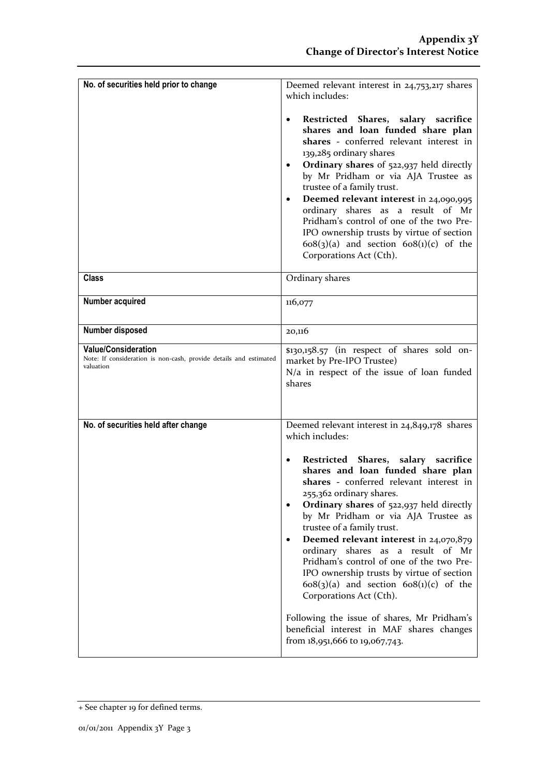| No. of securities held prior to change                                                                       | Deemed relevant interest in 24,753,217 shares<br>which includes:<br>Restricted Shares, salary sacrifice<br>٠<br>shares and loan funded share plan<br>shares - conferred relevant interest in<br>139,285 ordinary shares<br>Ordinary shares of 522,937 held directly<br>٠<br>by Mr Pridham or via AJA Trustee as<br>trustee of a family trust.<br>Deemed relevant interest in 24,090,995<br>$\bullet$<br>ordinary shares as a result of Mr<br>Pridham's control of one of the two Pre-<br>IPO ownership trusts by virtue of section<br>$608(3)(a)$ and section $608(1)(c)$ of the<br>Corporations Act (Cth).                                                                                                                                   |
|--------------------------------------------------------------------------------------------------------------|-----------------------------------------------------------------------------------------------------------------------------------------------------------------------------------------------------------------------------------------------------------------------------------------------------------------------------------------------------------------------------------------------------------------------------------------------------------------------------------------------------------------------------------------------------------------------------------------------------------------------------------------------------------------------------------------------------------------------------------------------|
| <b>Class</b>                                                                                                 | Ordinary shares                                                                                                                                                                                                                                                                                                                                                                                                                                                                                                                                                                                                                                                                                                                               |
| <b>Number acquired</b>                                                                                       | 116,077                                                                                                                                                                                                                                                                                                                                                                                                                                                                                                                                                                                                                                                                                                                                       |
| Number disposed                                                                                              | 20,116                                                                                                                                                                                                                                                                                                                                                                                                                                                                                                                                                                                                                                                                                                                                        |
| <b>Value/Consideration</b><br>Note: If consideration is non-cash, provide details and estimated<br>valuation | \$130,158.57 (in respect of shares sold on-<br>market by Pre-IPO Trustee)<br>N/a in respect of the issue of loan funded<br>shares                                                                                                                                                                                                                                                                                                                                                                                                                                                                                                                                                                                                             |
| No. of securities held after change                                                                          | Deemed relevant interest in 24,849,178 shares<br>which includes:<br>Restricted Shares, salary sacrifice<br>$\bullet$<br>shares and loan funded share plan<br>shares - conferred relevant interest in<br>255,362 ordinary shares.<br>Ordinary shares of 522,937 held directly<br>by Mr Pridham or via AJA Trustee as<br>trustee of a family trust.<br>Deemed relevant interest in 24,070,879<br>$\bullet$<br>ordinary shares as a result of Mr<br>Pridham's control of one of the two Pre-<br>IPO ownership trusts by virtue of section<br>$608(3)(a)$ and section $608(1)(c)$ of the<br>Corporations Act (Cth).<br>Following the issue of shares, Mr Pridham's<br>beneficial interest in MAF shares changes<br>from 18,951,666 to 19,067,743. |

<sup>+</sup> See chapter 19 for defined terms.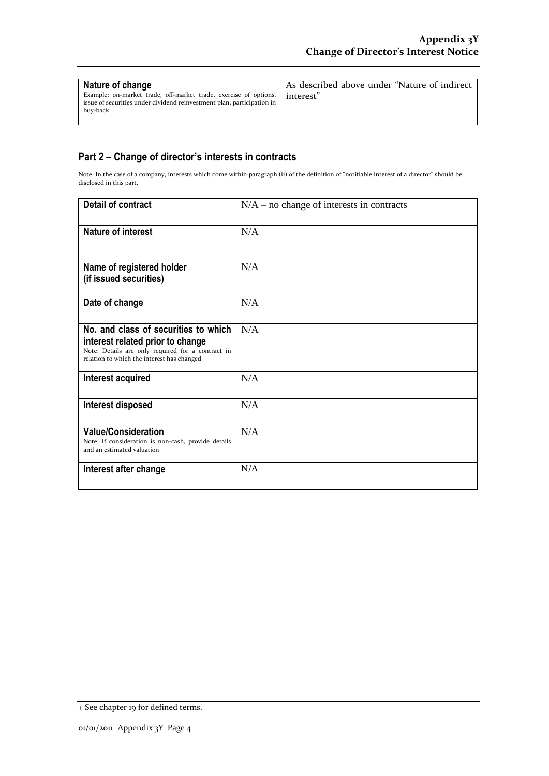| Nature of change                                                                                                                                       | As described above under "Nature of indirect |
|--------------------------------------------------------------------------------------------------------------------------------------------------------|----------------------------------------------|
| Example: on-market trade, off-market trade, exercise of options,<br>issue of securities under dividend reinvestment plan, participation in<br>buv-back | l interest"                                  |

### **Part 2 – Change of director's interests in contracts**

Note: In the case of a company, interests which come within paragraph (ii) of the definition of "notifiable interest of a director" should be disclosed in this part.

| <b>Detail of contract</b>                                                                                                                                                   | $N/A$ – no change of interests in contracts |
|-----------------------------------------------------------------------------------------------------------------------------------------------------------------------------|---------------------------------------------|
| <b>Nature of interest</b>                                                                                                                                                   | N/A                                         |
| Name of registered holder<br>(if issued securities)                                                                                                                         | N/A                                         |
| Date of change                                                                                                                                                              | N/A                                         |
| No. and class of securities to which<br>interest related prior to change<br>Note: Details are only required for a contract in<br>relation to which the interest has changed | N/A                                         |
| Interest acquired                                                                                                                                                           | N/A                                         |
| Interest disposed                                                                                                                                                           | N/A                                         |
| <b>Value/Consideration</b><br>Note: If consideration is non-cash, provide details<br>and an estimated valuation                                                             | N/A                                         |
| Interest after change                                                                                                                                                       | N/A                                         |

<sup>+</sup> See chapter 19 for defined terms.